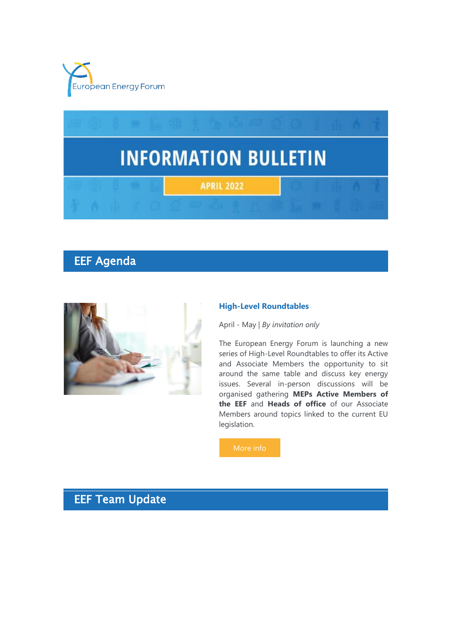



# EEF Agenda



#### **High-Level Roundtables**

April - May | *By invitation only*

The European Energy Forum is launching a new series of High-Level Roundtables to offer its Active and Associate Members the opportunity to sit around the same table and discuss key energy issues. Several in-person discussions will be organised gathering **MEPs Active Members of the EEF** and **Heads of office** of our Associate Members around topics linked to the current EU legislation.

# EEF Team Update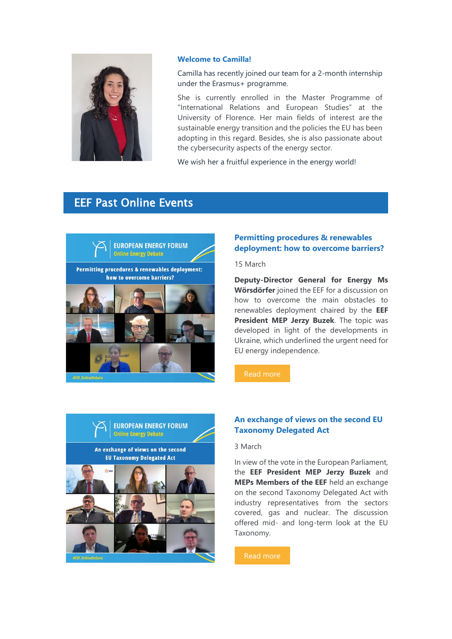

#### **Welcome to Camilla!**

Camilla has recently joined our team for a 2-month internship under the Erasmus+ programme.

She is currently enrolled in the Master Programme of "International Relations and European Studies" at the University of Florence. Her main fields of interest are the sustainable energy transition and the policies the EU has been adopting in this regard. Besides, she is also passionate about the cybersecurity aspects of the energy sector.

We wish her a fruitful experience in the energy world!

# EEF Past Online Events



### **Permitting procedures & renewables deployment: how to overcome barriers?**

15 March

**Deputy-Director General for Energy Ms Wörsdörfer** joined the EEF for a discussion on how to overcome the main obstacles to renewables deployment chaired by the **EEF President MEP Jerzy Buzek**. The topic was developed in light of the developments in Ukraine, which underlined the urgent need for EU energy independence.



### **An exchange of views on the second EU Taxonomy Delegated Act**

#### 3 March

In view of the vote in the European Parliament, the **EEF President MEP Jerzy Buzek** and **MEPs Members of the EEF** held an exchange on the second Taxonomy Delegated Act with industry representatives from the sectors covered, gas and nuclear. The discussion offered mid- and long-term look at the EU Taxonomy.

[Read more](https://7n8k7.r.a.d.sendibm1.com/mk/cl/f/ZtF10KgDzuOb07hFIte6fkWty5RRR1ZMWVbNj3efvQd3wvylDG8BhKjLoJfwfmBDbWd4mxcQD2hg13r473ahU30-H3TElbojtUsl5d65eYcgvYQdTAed6lhENV5_mqqzYb6nSjvTjbJB5WQpfZ4GSCOKvD7ZHadyIsHHJDFZ9LY6gWfiFp4ea3L0DQ2-_MBeyV2wWM5nGASISDzE5gFyJI3gu1iUyeP9_4Ldo1_XKE4AvxeTDpwR3HjO-hVGg4zNolOjgaKtHpnpC662HgaWwA)